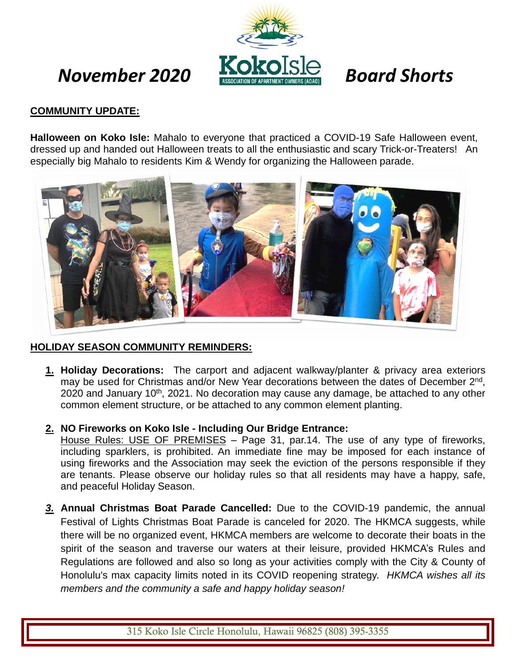# *November 2020 Board Shorts*



# **COMMUNITY UPDATE:**

**Halloween on Koko Isle:** Mahalo to everyone that practiced a COVID-19 Safe Halloween event, dressed up and handed out Halloween treats to all the enthusiastic and scary Trick-or-Treaters! An especially big Mahalo to residents Kim & Wendy for organizing the Halloween parade.



# **HOLIDAY SEASON COMMUNITY REMINDERS:**

- **1. Holiday Decorations:** The carport and adjacent walkway/planter & privacy area exteriors may be used for Christmas and/or New Year decorations between the dates of December 2<sup>nd</sup>, 2020 and January 10<sup>th</sup>, 2021. No decoration may cause any damage, be attached to any other common element structure, or be attached to any common element planting.
- **2. NO Fireworks on Koko Isle - Including Our Bridge Entrance:**

House Rules: USE OF PREMISES - Page 31, par.14. The use of any type of fireworks, including sparklers, is prohibited. An immediate fine may be imposed for each instance of using fireworks and the Association may seek the eviction of the persons responsible if they are tenants. Please observe our holiday rules so that all residents may have a happy, safe, and peaceful Holiday Season.

*3.* **Annual Christmas Boat Parade Cancelled:** Due to the COVID-19 pandemic, the annual Festival of Lights Christmas Boat Parade is canceled for 2020. The HKMCA suggests, while there will be no organized event, HKMCA members are welcome to decorate their boats in the spirit of the season and traverse our waters at their leisure, provided HKMCA's [Rules](https://www.google.com/url?q=https%3A%2F%2Fwww.hawaiikaimarina.com%2Frules-regulations&sa=D&sntz=1&usg=AFQjCNEv7BYV4z22ebwJ1bMyz8qvGufHTQ) and [Regulations](https://www.google.com/url?q=https%3A%2F%2Fwww.hawaiikaimarina.com%2Frules-regulations&sa=D&sntz=1&usg=AFQjCNEv7BYV4z22ebwJ1bMyz8qvGufHTQ) are followed and also so long as your activities comply with the City & County of Honolulu's max capacity limits noted in its COVID [reopening strategy.](https://www.google.com/url?q=https%3A%2F%2Fwww.oneoahu.org%2Freopening-strategy&sa=D&sntz=1&usg=AFQjCNEnsyR-CMC-uLO8s0coquO-aM2LTw) *HKMCA wishes all its members and the community a safe and happy holiday season!*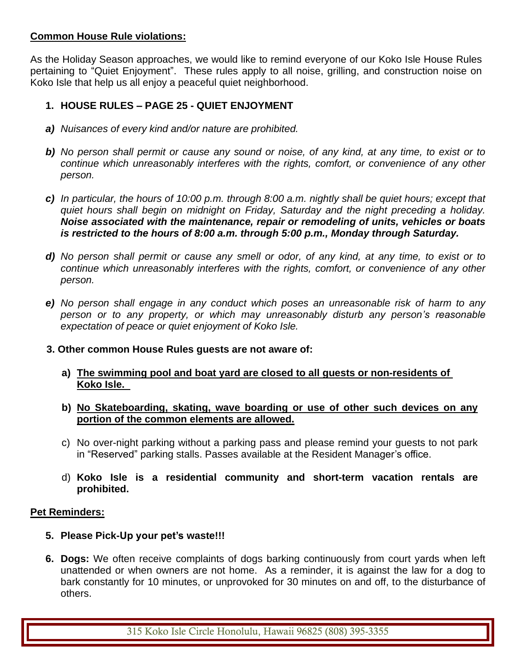## **Common House Rule violations:**

As the Holiday Season approaches, we would like to remind everyone of our Koko Isle House Rules pertaining to "Quiet Enjoyment". These rules apply to all noise, grilling, and construction noise on Koko Isle that help us all enjoy a peaceful quiet neighborhood.

# **1. HOUSE RULES – PAGE 25 - QUIET ENJOYMENT**

- *a) Nuisances of every kind and/or nature are prohibited.*
- *b) No person shall permit or cause any sound or noise, of any kind, at any time, to exist or to continue which unreasonably interferes with the rights, comfort, or convenience of any other person.*
- *c) In particular, the hours of 10:00 p.m. through 8:00 a.m. nightly shall be quiet hours; except that quiet hours shall begin on midnight on Friday, Saturday and the night preceding a holiday. Noise associated with the maintenance, repair or remodeling of units, vehicles or boats is restricted to the hours of 8:00 a.m. through 5:00 p.m., Monday through Saturday.*
- *d) No person shall permit or cause any smell or odor, of any kind, at any time, to exist or to continue which unreasonably interferes with the rights, comfort, or convenience of any other person.*
- *e) No person shall engage in any conduct which poses an unreasonable risk of harm to any person or to any property, or which may unreasonably disturb any person's reasonable expectation of peace or quiet enjoyment of Koko Isle.*
- **3. Other common House Rules guests are not aware of:**
	- **a) The swimming pool and boat yard are closed to all guests or non-residents of Koko Isle.**
	- **b) No Skateboarding, skating, wave boarding or use of other such devices on any portion of the common elements are allowed.**
	- c) No over-night parking without a parking pass and please remind your guests to not park in "Reserved" parking stalls. Passes available at the Resident Manager's office.
	- d) **Koko Isle is a residential community and short-term vacation rentals are prohibited.**

### **Pet Reminders:**

- **5. Please Pick-Up your pet's waste!!!**
- **6. Dogs:** We often receive complaints of dogs barking continuously from court yards when left unattended or when owners are not home. As a reminder, it is against the law for a dog to bark constantly for 10 minutes, or unprovoked for 30 minutes on and off, to the disturbance of others.

315 Koko Isle Circle Honolulu, Hawaii 96825 (808) 395-3355